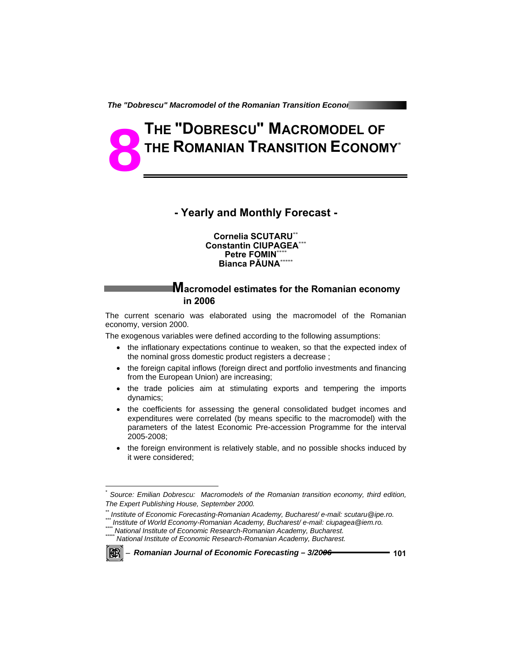*The "Dobrescu" Macromodel of the Romanian Transition Economy Chemical Macromody Chemical Macromody Chemical* 

# **THE "DOBRESCU" MACROMODEL OF THE ROMANIAN TRANSITION ECONOMY**\* **8**

# **- Yearly and Monthly Forecast -**

#### **Cornelia SCUTARU**\*\* **Constantin CIUPAGEA**\*\*\* **Petre FOMIN\*\* Bianca PĂUNA**\*\*\*\*\*

## **Macromodel estimates for the Romanian economy in 2006**

The current scenario was elaborated using the macromodel of the Romanian economy, version 2000.

The exogenous variables were defined according to the following assumptions:

- the inflationary expectations continue to weaken, so that the expected index of the nominal gross domestic product registers a decrease ;
- the foreign capital inflows (foreign direct and portfolio investments and financing from the European Union) are increasing;
- the trade policies aim at stimulating exports and tempering the imports dynamics;
- the coefficients for assessing the general consolidated budget incomes and expenditures were correlated (by means specific to the macromodel) with the parameters of the latest Economic Pre-accession Programme for the interval 2005-2008;
- the foreign environment is relatively stable, and no possible shocks induced by it were considered;

matitute of World Economy-Romanian Academy, Bucharest/e-mail: ciupagea @iem.ro.<br>"" National Institute of Economic Research-Romanian Academy, Bucharest.<br>"" National Institute of Economic Research-Romanian Academy, Bucharest



l

<sup>−</sup> *Romanian Journal of Economic Forecasting – 3/2006* **101**

*<sup>\*</sup> Source: Emilian Dobrescu: Macromodels of the Romanian transition economy, third edition, The Expert Publishing House, September 2000.* 

*<sup>\*\*</sup> Institute of Economic Forecasting-Romanian Academy, Bucharest/ e-mail: scutaru@ipe.ro.*